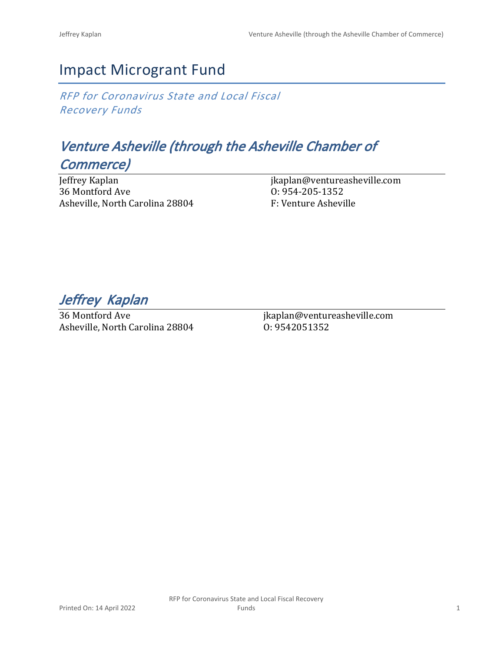## Impact Microgrant Fund

*RFP for Coronavirus State and Local Fiscal Recovery Funds*

# *Venture Asheville (through the Asheville Chamber of Commerce)*

Jeffrey Kaplan 36 Montford Ave Asheville, North Carolina 28804 jkaplan@ventureasheville.com O: 954-205-1352 F: Venture Asheville

*Jeffrey Kaplan* 

36 Montford Ave Asheville, North Carolina 28804 jkaplan@ventureasheville.com O: 9542051352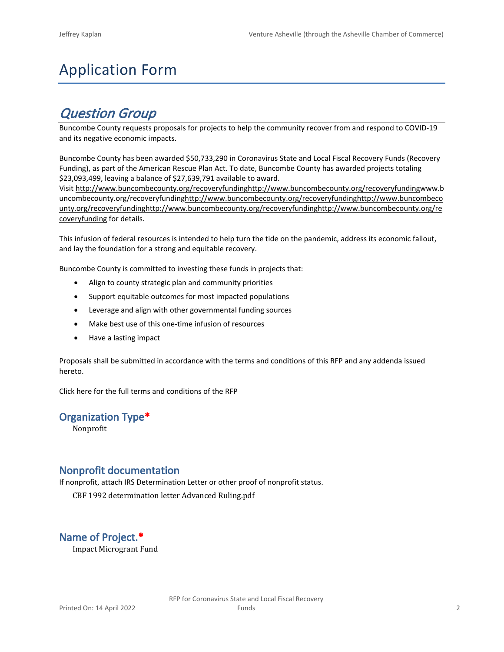# Application Form

## *Question Group*

Buncombe County requests proposals for projects to help the community recover from and respond to COVID-19 and its negative economic impacts.

Buncombe County has been awarded \$50,733,290 in Coronavirus State and Local Fiscal Recovery Funds (Recovery Funding), as part of the American Rescue Plan Act. To date, Buncombe County has awarded projects totaling \$23,093,499, leaving a balance of \$27,639,791 available to award.

Visit [http://www.buncombecounty.org/recoveryfundinghttp://www.buncombecounty.org/recoveryfundingwww.b](http://www.buncombecounty.org/recoveryfunding) [uncombecounty.org/recoveryfundinghttp://www.buncombecounty.org/recoveryfundinghttp://www.buncombeco](http://www.buncombecounty.org/recoveryfunding) [unty.org/recoveryfundinghttp://www.buncombecounty.org/recoveryfundinghttp://www.buncombecounty.org/re](http://www.buncombecounty.org/recoveryfunding) [coveryfunding](http://www.buncombecounty.org/recoveryfunding) for details.

This infusion of federal resources is intended to help turn the tide on the pandemic, address its economic fallout, and lay the foundation for a strong and equitable recovery.

Buncombe County is committed to investing these funds in projects that:

- Align to county strategic plan and community priorities
- Support equitable outcomes for most impacted populations
- Leverage and align with other governmental funding sources
- Make best use of this one-time infusion of resources
- Have a lasting impact

Proposals shall be submitted in accordance with the terms and conditions of this RFP and any addenda issued hereto.

Click [here](https://www.buncombecounty.org/common/purchasing/Buncombe%20Recovery%20Funding%20RFP%202022.pdf) for the full terms and conditions of the RFP

### **Organization Type\***

Nonprofit

### **Nonprofit documentation**

If nonprofit, attach IRS Determination Letter or other proof of nonprofit status.

CBF 1992 determination letter Advanced Ruling.pdf

### **Name of Project.\***

Impact Microgrant Fund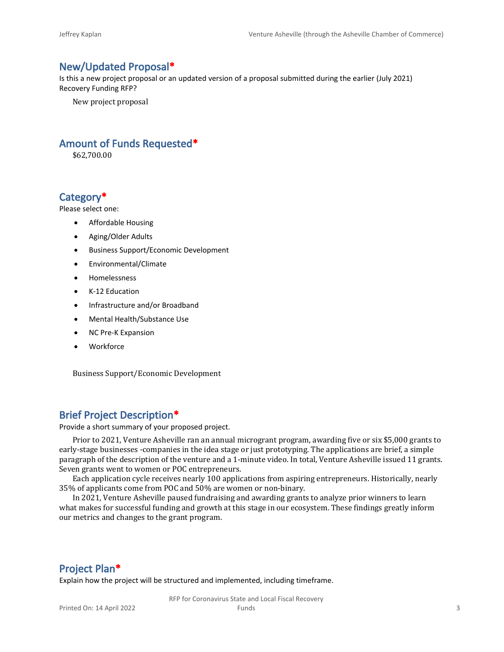### **New/Updated Proposal\***

Is this a new project proposal or an updated version of a proposal submitted during the earlier (July 2021) Recovery Funding RFP?

New project proposal

### **Amount of Funds Requested\***

\$62,700.00

### **Category\***

Please select one:

- Affordable Housing
- Aging/Older Adults
- Business Support/Economic Development
- Environmental/Climate
- Homelessness
- K-12 Education
- Infrastructure and/or Broadband
- Mental Health/Substance Use
- NC Pre-K Expansion
- Workforce

Business Support/Economic Development

### **Brief Project Description\***

Provide a short summary of your proposed project.

Prior to 2021, Venture Asheville ran an annual microgrant program, awarding five or six \$5,000 grants to early-stage businesses -companies in the idea stage or just prototyping. The applications are brief, a simple paragraph of the description of the venture and a 1-minute video. In total, Venture Asheville issued 11 grants. Seven grants went to women or POC entrepreneurs.

Each application cycle receives nearly 100 applications from aspiring entrepreneurs. Historically, nearly 35% of applicants come from POC and 50% are women or non-binary.

In 2021, Venture Asheville paused fundraising and awarding grants to analyze prior winners to learn what makes for successful funding and growth at this stage in our ecosystem. These findings greatly inform our metrics and changes to the grant program.

### **Project Plan\***

Explain how the project will be structured and implemented, including timeframe.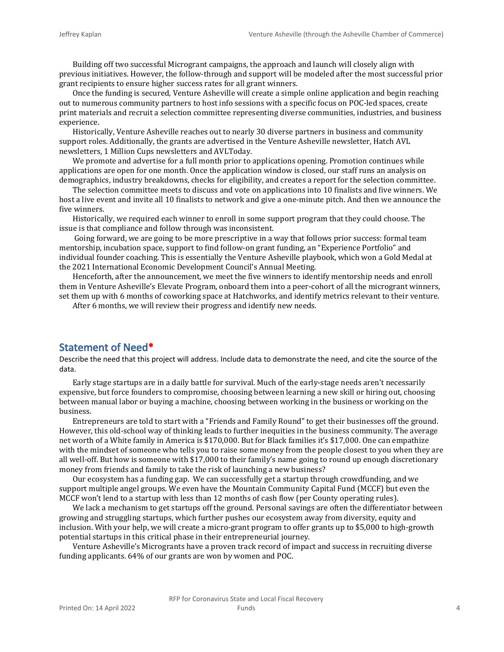Building off two successful Microgrant campaigns, the approach and launch will closely align with previous initiatives. However, the follow-through and support will be modeled after the most successful prior grant recipients to ensure higher success rates for all grant winners.

Once the funding is secured, Venture Asheville will create a simple online application and begin reaching out to numerous community partners to host info sessions with a specific focus on POC-led spaces, create print materials and recruit a selection committee representing diverse communities, industries, and business experience.

Historically, Venture Asheville reaches out to nearly 30 diverse partners in business and community support roles. Additionally, the grants are advertised in the Venture Asheville newsletter, Hatch AVL newsletters, 1 Million Cups newsletters and AVLToday.

We promote and advertise for a full month prior to applications opening. Promotion continues while applications are open for one month. Once the application window is closed, our staff runs an analysis on demographics, industry breakdowns, checks for eligibility, and creates a report for the selection committee.

The selection committee meets to discuss and vote on applications into 10 finalists and five winners. We host a live event and invite all 10 finalists to network and give a one-minute pitch. And then we announce the five winners.

Historically, we required each winner to enroll in some support program that they could choose. The issue is that compliance and follow through was inconsistent.

 Going forward, we are going to be more prescriptive in a way that follows prior success: formal team mentorship, incubation space, support to find follow-on grant funding, an "Experience Portfolio" and individual founder coaching. This is essentially the Venture Asheville playbook, which won a Gold Medal at the 2021 International Economic Development Council's Annual Meeting.

Henceforth, after the announcement, we meet the five winners to identify mentorship needs and enroll them in Venture Asheville's Elevate Program, onboard them into a peer-cohort of all the microgrant winners, set them up with 6 months of coworking space at Hatchworks, and identify metrics relevant to their venture.

After 6 months, we will review their progress and identify new needs.

### **Statement of Need\***

Describe the need that this project will address. Include data to demonstrate the need, and cite the source of the data.

Early stage startups are in a daily battle for survival. Much of the early-stage needs aren't necessarily expensive, but force founders to compromise, choosing between learning a new skill or hiring out, choosing between manual labor or buying a machine, choosing between working in the business or working on the business.

Entrepreneurs are told to start with a "Friends and Family Round" to get their businesses off the ground. However, this old-school way of thinking leads to further inequities in the business community. The average net worth of a White family in America is \$170,000. But for Black families it's \$17,000. One can empathize with the mindset of someone who tells you to raise some money from the people closest to you when they are all well-off. But how is someone with \$17,000 to their family's name going to round up enough discretionary money from friends and family to take the risk of launching a new business?

Our ecosystem has a funding gap. We can successfully get a startup through crowdfunding, and we support multiple angel groups. We even have the Mountain Community Capital Fund (MCCF) but even the MCCF won't lend to a startup with less than 12 months of cash flow (per County operating rules).

We lack a mechanism to get startups off the ground. Personal savings are often the differentiator between growing and struggling startups, which further pushes our ecosystem away from diversity, equity and inclusion. With your help, we will create a micro-grant program to offer grants up to \$5,000 to high-growth potential startups in this critical phase in their entrepreneurial journey.

Venture Asheville's Microgrants have a proven track record of impact and success in recruiting diverse funding applicants. 64% of our grants are won by women and POC.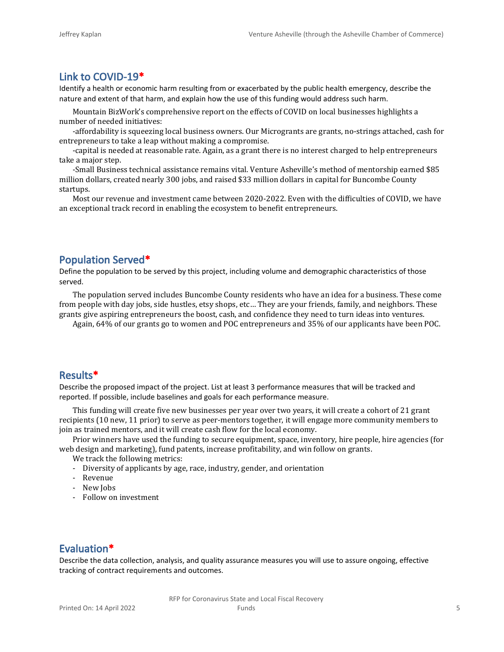### **Link to COVID-19\***

Identify a health or economic harm resulting from or exacerbated by the public health emergency, describe the nature and extent of that harm, and explain how the use of this funding would address such harm.

Mountain BizWork's comprehensive report on the effects of COVID on local businesses highlights a number of needed initiatives:

-affordability is squeezing local business owners. Our Microgrants are grants, no-strings attached, cash for entrepreneurs to take a leap without making a compromise.

-capital is needed at reasonable rate. Again, as a grant there is no interest charged to help entrepreneurs take a major step.

-Small Business technical assistance remains vital. Venture Asheville's method of mentorship earned \$85 million dollars, created nearly 300 jobs, and raised \$33 million dollars in capital for Buncombe County startups.

Most our revenue and investment came between 2020-2022. Even with the difficulties of COVID, we have an exceptional track record in enabling the ecosystem to benefit entrepreneurs.

## **Population Served\***

Define the population to be served by this project, including volume and demographic characteristics of those served.

The population served includes Buncombe County residents who have an idea for a business. These come from people with day jobs, side hustles, etsy shops, etc… They are your friends, family, and neighbors. These grants give aspiring entrepreneurs the boost, cash, and confidence they need to turn ideas into ventures.

Again, 64% of our grants go to women and POC entrepreneurs and 35% of our applicants have been POC.

### **Results\***

Describe the proposed impact of the project. List at least 3 performance measures that will be tracked and reported. If possible, include baselines and goals for each performance measure.

This funding will create five new businesses per year over two years, it will create a cohort of 21 grant recipients (10 new, 11 prior) to serve as peer-mentors together, it will engage more community members to join as trained mentors, and it will create cash flow for the local economy.

Prior winners have used the funding to secure equipment, space, inventory, hire people, hire agencies (for web design and marketing), fund patents, increase profitability, and win follow on grants.

We track the following metrics:

- Diversity of applicants by age, race, industry, gender, and orientation
- Revenue
- New Jobs
- Follow on investment

### **Evaluation\***

Describe the data collection, analysis, and quality assurance measures you will use to assure ongoing, effective tracking of contract requirements and outcomes.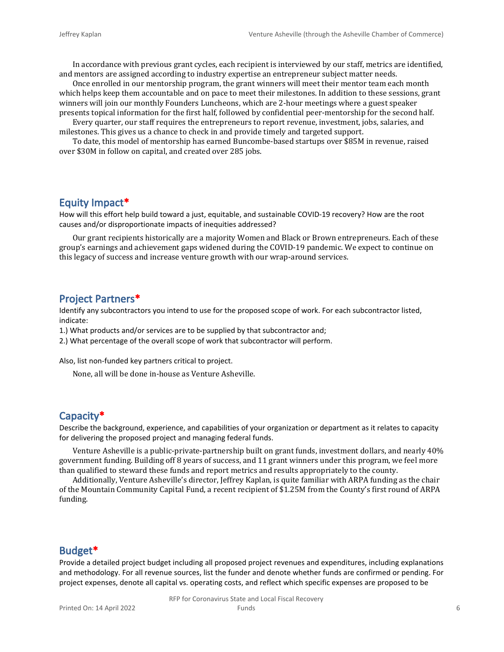In accordance with previous grant cycles, each recipient is interviewed by our staff, metrics are identified, and mentors are assigned according to industry expertise an entrepreneur subject matter needs.

Once enrolled in our mentorship program, the grant winners will meet their mentor team each month which helps keep them accountable and on pace to meet their milestones. In addition to these sessions, grant winners will join our monthly Founders Luncheons, which are 2-hour meetings where a guest speaker presents topical information for the first half, followed by confidential peer-mentorship for the second half.

Every quarter, our staff requires the entrepreneurs to report revenue, investment, jobs, salaries, and milestones. This gives us a chance to check in and provide timely and targeted support.

To date, this model of mentorship has earned Buncombe-based startups over \$85M in revenue, raised over \$30M in follow on capital, and created over 285 jobs.

### **Equity Impact\***

How will this effort help build toward a just, equitable, and sustainable COVID-19 recovery? How are the root causes and/or disproportionate impacts of inequities addressed?

Our grant recipients historically are a majority Women and Black or Brown entrepreneurs. Each of these group's earnings and achievement gaps widened during the COVID-19 pandemic. We expect to continue on this legacy of success and increase venture growth with our wrap-around services.

### **Project Partners\***

Identify any subcontractors you intend to use for the proposed scope of work. For each subcontractor listed, indicate:

1.) What products and/or services are to be supplied by that subcontractor and;

2.) What percentage of the overall scope of work that subcontractor will perform.

Also, list non-funded key partners critical to project.

None, all will be done in-house as Venture Asheville.

### **Capacity\***

Describe the background, experience, and capabilities of your organization or department as it relates to capacity for delivering the proposed project and managing federal funds.

Venture Asheville is a public-private-partnership built on grant funds, investment dollars, and nearly 40% government funding. Building off 8 years of success, and 11 grant winners under this program, we feel more than qualified to steward these funds and report metrics and results appropriately to the county.

Additionally, Venture Asheville's director, Jeffrey Kaplan, is quite familiar with ARPA funding as the chair of the Mountain Community Capital Fund, a recent recipient of \$1.25M from the County's first round of ARPA funding.

### **Budget\***

Provide a detailed project budget including all proposed project revenues and expenditures, including explanations and methodology. For all revenue sources, list the funder and denote whether funds are confirmed or pending. For project expenses, denote all capital vs. operating costs, and reflect which specific expenses are proposed to be

RFP for Coronavirus State and Local Fiscal Recovery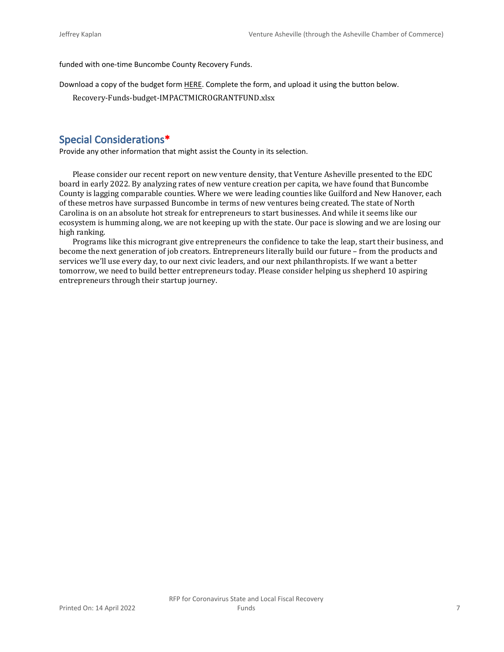funded with one-time Buncombe County Recovery Funds.

Download a copy of the budget form [HERE](https://buncombecounty.org/common/community-investment/grants/early-childhood-education/Recovery-Funds-budget-template.xlsx). Complete the form, and upload it using the button below.

Recovery-Funds-budget-IMPACTMICROGRANTFUND.xlsx

### **Special Considerations\***

Provide any other information that might assist the County in its selection.

Please consider our recent report on new venture density, that Venture Asheville presented to the EDC board in early 2022. By analyzing rates of new venture creation per capita, we have found that Buncombe County is lagging comparable counties. Where we were leading counties like Guilford and New Hanover, each of these metros have surpassed Buncombe in terms of new ventures being created. The state of North Carolina is on an absolute hot streak for entrepreneurs to start businesses. And while it seems like our ecosystem is humming along, we are not keeping up with the state. Our pace is slowing and we are losing our high ranking.

Programs like this microgrant give entrepreneurs the confidence to take the leap, start their business, and become the next generation of job creators. Entrepreneurs literally build our future – from the products and services we'll use every day, to our next civic leaders, and our next philanthropists. If we want a better tomorrow, we need to build better entrepreneurs today. Please consider helping us shepherd 10 aspiring entrepreneurs through their startup journey.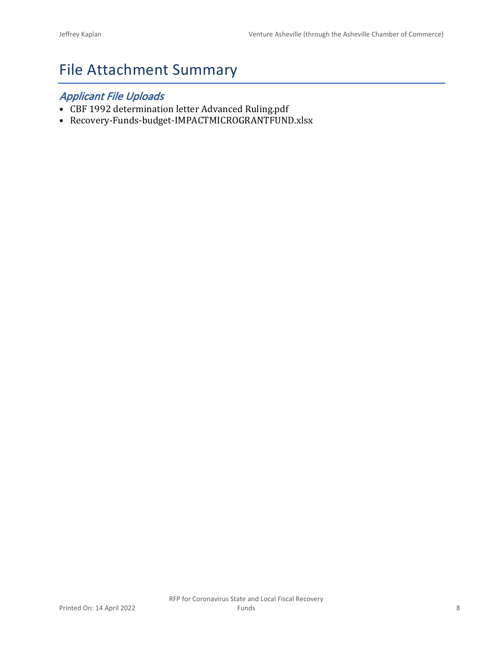# File Attachment Summary

## *Applicant File Uploads*

- CBF 1992 determination letter Advanced Ruling.pdf
- Recovery-Funds-budget-IMPACTMICROGRANTFUND.xlsx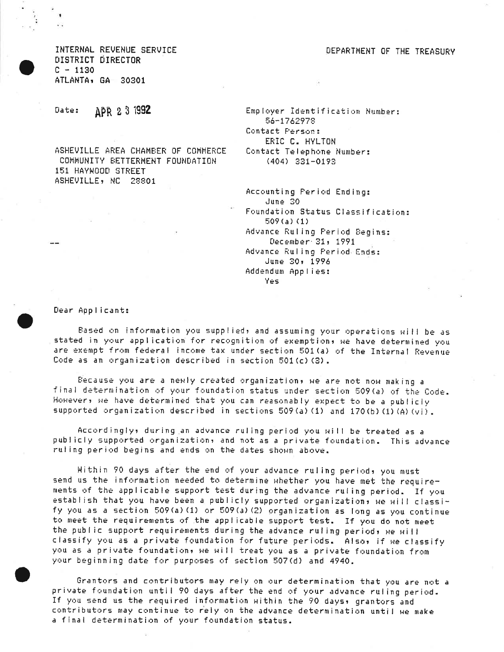DEPARTMENT OF THE TREASURY

INTERNAL REVENUE SERVICE DISTRICT DIRECTOR  $C - 1130$ ATLANTA, GA 30301

APR 2 3 1992 Date:

ASHEVILLE AREA CHAMBER OF COMMERCE COMMUNITY BETTERMENT FOUNDATION 151 HAYWOOD STREET ASHEVILLE, NC 28801

Employer Identification Number: 56-1762978 Contact Person: ERIC C. HYLTON Contact Telephone Number:  $(404)$  331-0193

Accounting Period Ending: June 30 Foundation Status Classification:  $509(a)(1)$ Advance Ruling Period Begins: December 31, 1991 Advance Ruling Period Ends: June 30, 1996 Addendum Applies: Yes

Dear Applicant:

Based on information you supplied, and assuming your operations will be as stated in your application for recognition of exemption, we have determined you are exempt from federal income tax under section 501(a) of the Internal Revenue Code as an organization described in section 501(c)(3).

Because you are a newly created organization, we are not now making a final determination of your foundation status under section 509(a) of the Code. However, we have determined that you can reasonably expect to be a publiciy supported organization described in sections 509(a)(1) and 170(b)(1)(A)(vi).

Accordingly, during an advance ruling period you will be treated as a publicly supported organization, and not as a private foundation. This advance ruling period begins and ends on the dates shown above.

Within 90 days after the end of your advance ruling period, you must send us the information needed to determine whether you have met the requirements of the applicable support test during the advance ruling period. If you establish that you have been a publicly supported organization, we will classify you as a section 509(a)(1) or 509(a)(2) organization as long as you continue to meet the requirements of the applicable support test. If you do not meet the public support requirements during the advance ruling period, we will classify you as a private foundation for future periods. Also, if we classify you as a private foundation, we will treat you as a private foundation from your beginning date for purposes of section 507(d) and 4940.

Grantors and contributors may rely on our determination that you are not a private foundation until 90 days after the end of your advance ruling period. If you send us the required information within the 90 days, grantors and contributors may continue to rely on the advance determination until we make a final determination of your foundation status.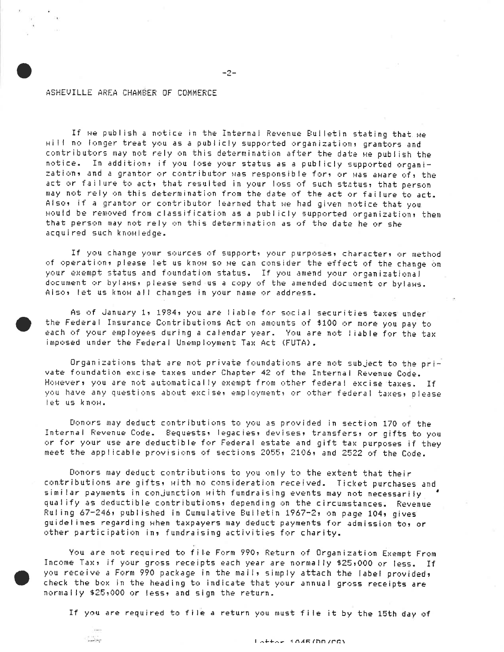#### ASHEVILLE AREA CHAMBER OF COMMERCE

 $\cdots$ 

If we publish a notice in the Internal Revenue Bulletin stating that we will no longer treat you as a publicly supported organizations grantors and contributors may not rely on this determination after the date we publish the notice. In addition, if you lose your status as a publicly supported organization, and a grantor or contributor was responsible for, or was aware of, the act or failure to act, that resulted in your loss of such status, that person may not rely on this determination from the date of the act or failure to act. Also, if a grantor or contributor learned that we had given notice that you would be removed from classification as a publicly supported organization, then that person may not rely on this determination as of the date he or she acquired such knowledge.

 $-2-$ 

If you change your sources of support, your purposes, character, or method of operation, please let us know so we can consider the effect of the change on your exempt status and foundation status. If you amend your organizational document or bylaws, please send us a copy of the amended document or bylaws. Aiso, let us know all changes in your name or address.

As of January 1, 1984, you are liable for social securities taxes under the Federal Insurance Contributions Act on amounts of \$100 or more you pay to each of your employees during a calendar year. You are not liable for the tax imposed under the Federal Unemployment Tax Act (FUTA).

Organizations that are not private foundations are not subject to the private foundation excise taxes under Chapter 42 of the Internal Revenue Code. Howevers you are not automatically exempt from other federal excise taxes. If you have any questions about excise, employment, or other federal taxes, please let us know.

Donors may deduct contributions to you as provided in section 170 of the Internal Revenue Code. Bequests, legacies, devises, transfers, or gifts to you or for your use are deductible for Federal estate and gift tax purposes if they meet the applicable provisions of sections 2055, 2106, and 2522 of the Code.

Donors may deduct contributions to you only to the extent that their contributions are gifts, with no consideration received. Ticket purchases and similar payments in conjunction with fundraising events may not necessarily qualify as deductible contributions, depending on the circumstances. Revenue Ruling 67-246, published in Cumulative Bulletin 1967-2, on page 104, gives guidelines regarding when taxpayers may deduct payments for admission to, or other participation in, fundraising activities for charity.

You are not required to file Form 990, Return of Organization Exempt From Income Tax, if your gross receipts each year are normally \$25,000 or less. If you receive a Form 990 package in the mail, simply attach the label provided, check the box in the heading to indicate that your annual gross receipts are normally \$25,000 or less, and sign the return.

If you are required to file a return you must file it by the 15th day of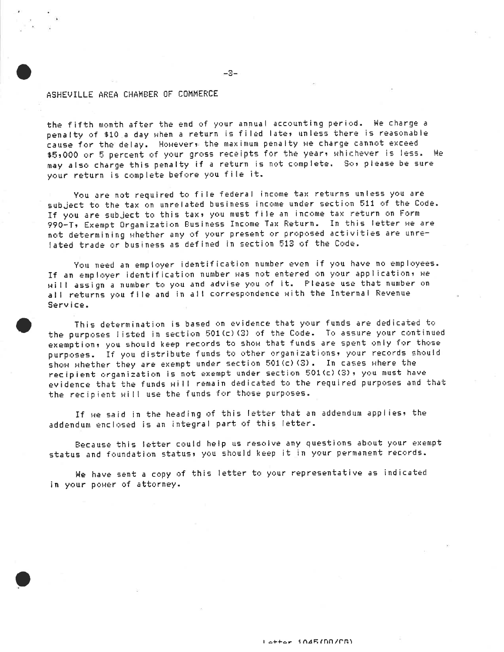#### ASHEVILLE AREA CHAMBER OF COMMERCE

the fifth month after the end of your annual accounting period. We charge a penalty of \$10 a day when a return is filed late, unless there is reasonable cause for the delay. Howevers the maximum penalty we charge cannot exceed \$5,000 or 5 percent of your gross receipts for the year, whichever is less. We may also charge this penalty if a return is not complete. So, please be sure your return is complete before you file it.

 $-3-$ 

You are not required to file federal income tax returns unless you are subject to the tax on unrelated business income under section 511 of the Code. If you are subject to this tax, you must file an income tax return on Form 990-T, Exempt Organization Business Income Tax Return. In this letter we are not determining whether any of your present or proposed activities are unrelated trade or business as defined in section 513 of the Code.

You need an employer identification number even if you have no employees. If an employer identification number was not entered on your application, we will assign a number to you and advise you of it. Please use that number on all returns you file and in all correspondence with the Internal Revenue Service.

This determination is based on evidence that your funds are dedicated to the purposes listed in section 501(c)(3) of the Code. To assure your continued exemption, you should keep records to show that funds are spent only for those purposes. If you distribute funds to other organizations, your records should show whether they are exempt under section 501(c)(3). In cases where the recipient organization is not exempt under section 501(c)(3), you must have evidence that the funds will remain dedicated to the required purposes and that the recipient will use the funds for those purposes.

If we said in the heading of this letter that an addendum applies, the addendum enclosed is an integral part of this letter.

Because this letter could help us resolve any questions about your exempt status and foundation status, you should keep it in your permanent records.

We have sent a copy of this letter to your representative as indicated in your power of attorney.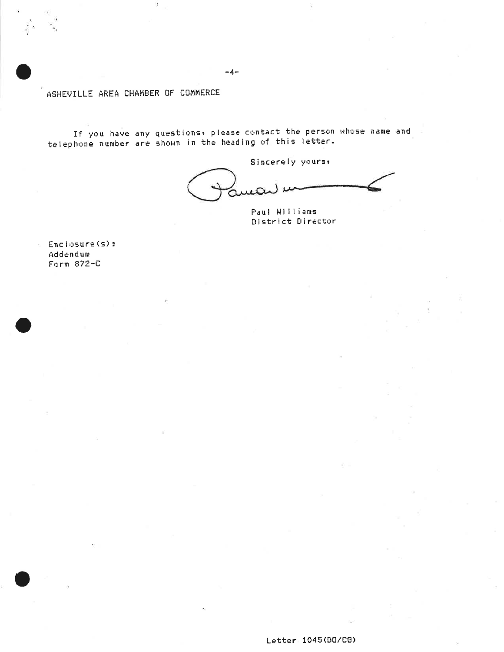ASHEVILLE AREA CHAMBER OF COMMERCE

ŝ

If you have any questions, please contact the person whose name and<br>telephone number are shown in the heading of this letter.

Sincerely yours,

Paul Williams District Director

Enclosure(s): Addendum Form 872-C